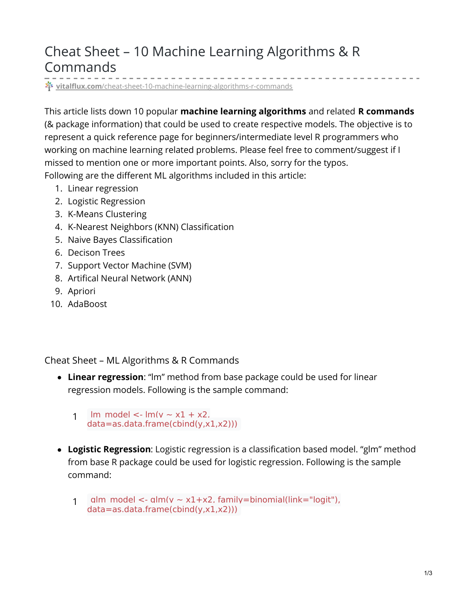## Cheat Sheet – 10 Machine Learning Algorithms & R Commands ---------------. . . . . . . . . .

**\*** vitalflux.com[/cheat-sheet-10-machine-learning-algorithms-r-commands](https://vitalflux.com/cheat-sheet-10-machine-learning-algorithms-r-commands/)

This article lists down 10 popular **machine learning algorithms** and related **R commands** (& package information) that could be used to create respective models. The objective is to represent a quick reference page for beginners/intermediate level R programmers who working on machine learning related problems. Please feel free to comment/suggest if I missed to mention one or more important points. Also, sorry for the typos. Following are the different ML algorithms included in this article:

- 1. Linear regression
- 2. Logistic Regression
- 3. K-Means Clustering
- 4. K-Nearest Neighbors (KNN) Classification
- 5. Naive Bayes Classification
- 6. Decison Trees
- 7. Support Vector Machine (SVM)
- 8. Artifical Neural Network (ANN)
- 9. Apriori
- 10. AdaBoost

Cheat Sheet – ML Algorithms & R Commands

**Linear regression**: "lm" method from base package could be used for linear regression models. Following is the sample command:

1 lm model  $\lt$ - lm(y  $\lt \times$  x1 + x2, data=as.data.frame(cbind(y,x1,x2)))

- **Logistic Regression**: Logistic regression is a classification based model. "glm" method from base R package could be used for logistic regression. Following is the sample command:
	- 1 glm model <-  $\frac{dm}{v} \approx x1+x2$ , family=binomial(link="logit"), data=as.data.frame(cbind(y,x1,x2)))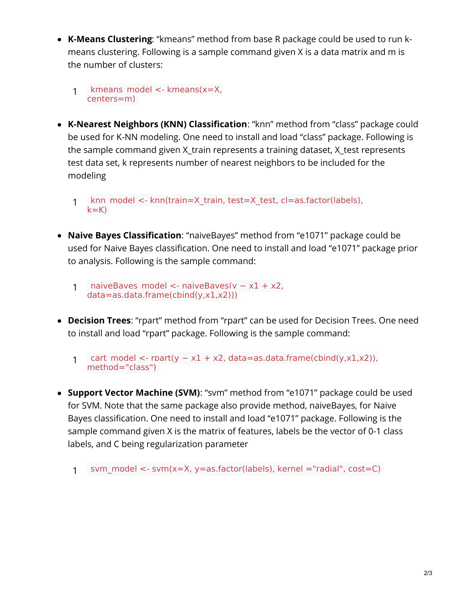- **K-Means Clustering**: "kmeans" method from base R package could be used to run kmeans clustering. Following is a sample command given X is a data matrix and m is the number of clusters:
	- 1 kmeans model  $\lt$  kmeans(x=X, centers=m)
- **K-Nearest Neighbors (KNN) Classification**: "knn" method from "class" package could be used for K-NN modeling. One need to install and load "class" package. Following is the sample command given X\_train represents a training dataset, X\_test represents test data set, k represents number of nearest neighbors to be included for the modeling
	- 1 knn model <- knn(train=X train, test=X test, cl=as.factor(labels), k=K)
- **Naive Bayes Classification**: "naiveBayes" method from "e1071" package could be used for Naive Bayes classification. One need to install and load "e1071" package prior to analysis. Following is the sample command:
	- 1 naiveBayes model <- naiveBayes(y  $\sim x1 + x2$ , data=as.data.frame(cbind(y,x1,x2)))
- **Decision Trees**: "rpart" method from "rpart" can be used for Decision Trees. One need to install and load "rpart" package. Following is the sample command:
	- 1 cart model <- rpart(y  $\sim x1 + x2$ , data=as.data.frame(cbind(y,x1,x2)), method="class")
- **Support Vector Machine (SVM)**: "svm" method from "e1071" package could be used for SVM. Note that the same package also provide method, naiveBayes, for Naive Bayes classification. One need to install and load "e1071" package. Following is the sample command given X is the matrix of features, labels be the vector of 0-1 class labels, and C being regularization parameter
	- 1 svm\_model <- svm(x=X, y=as.factor(labels), kernel ="radial", cost=C)